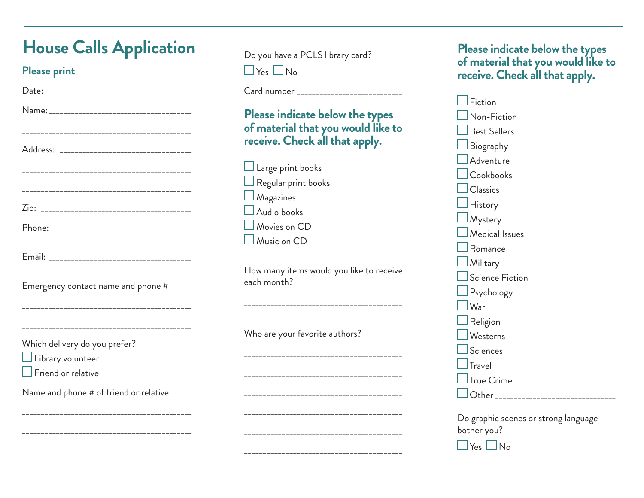## **House Calls Application**

## **Please print**

| Emergency contact name and phone #                                                     |
|----------------------------------------------------------------------------------------|
| ------------------------------------                                                   |
| Which delivery do you prefer?<br>$\Box$ Library volunteer<br>$\Box$ Friend or relative |
| Name and phone # of friend or relative:                                                |

\_\_\_\_\_\_\_\_\_\_\_\_\_\_\_\_\_\_\_\_\_\_\_\_\_\_\_\_\_\_\_\_\_\_\_\_\_\_\_\_\_\_\_\_\_

\_\_\_\_\_\_\_\_\_\_\_\_\_\_\_\_\_\_\_\_\_\_\_\_\_\_\_\_\_\_\_\_\_\_\_\_\_\_\_\_\_\_\_\_\_

Do you have a PCLS library card?  $\Box$  Yes  $\Box$  No

Card number \_\_\_\_\_\_\_\_\_\_\_\_\_\_\_\_\_\_\_\_\_\_\_\_\_\_\_\_

## **Please indicate below the types of material that you would like to receive. Check all that apply.**

 $\Box$  Large print books  $\Box$  Regular print books  $\Box$  Magazines  $\Box$  Audio books Movies on CD Music on CD

How many items would you like to receive each month?

\_\_\_\_\_\_\_\_\_\_\_\_\_\_\_\_\_\_\_\_\_\_\_\_\_\_\_\_\_\_\_\_\_\_\_\_\_\_\_\_\_\_

\_\_\_\_\_\_\_\_\_\_\_\_\_\_\_\_\_\_\_\_\_\_\_\_\_\_\_\_\_\_\_\_\_\_\_\_\_\_\_\_\_\_

\_\_\_\_\_\_\_\_\_\_\_\_\_\_\_\_\_\_\_\_\_\_\_\_\_\_\_\_\_\_\_\_\_\_\_\_\_\_\_\_\_\_

\_\_\_\_\_\_\_\_\_\_\_\_\_\_\_\_\_\_\_\_\_\_\_\_\_\_\_\_\_\_\_\_\_\_\_\_\_\_\_\_\_\_

\_\_\_\_\_\_\_\_\_\_\_\_\_\_\_\_\_\_\_\_\_\_\_\_\_\_\_\_\_\_\_\_\_\_\_\_\_\_\_\_\_\_

\_\_\_\_\_\_\_\_\_\_\_\_\_\_\_\_\_\_\_\_\_\_\_\_\_\_\_\_\_\_\_\_\_\_\_\_\_\_\_\_\_\_

\_\_\_\_\_\_\_\_\_\_\_\_\_\_\_\_\_\_\_\_\_\_\_\_\_\_\_\_\_\_\_\_\_\_\_\_\_\_\_\_\_\_

Who are your favorite authors?

**Please indicate below the types of material that you would like to receive. Check all that apply.** 

| Fiction                                             |
|-----------------------------------------------------|
| Non-Fiction                                         |
| <b>Best Sellers</b>                                 |
| Biography                                           |
| Adventure                                           |
| Cookbooks                                           |
| Classics                                            |
| History                                             |
| $\sqcup$ Mystery                                    |
| $\operatorname{\mathsf{\mathsf{I}}}$ Medical Issues |
| Romance                                             |
| $\Box$ Military                                     |
| $\Box$ Science Fiction                              |
| $\Box$ Psychology                                   |
| $\sf{IW}$ ar                                        |
| $\mathsf{\mathord{\textsf{J}}}$ Religion            |
| Westerns                                            |
| $\mathsf{\mathsf{\mathsf{I}S}c}$ iences             |
| Travel                                              |
| True Crime                                          |
| Other <sub>-</sub>                                  |
|                                                     |

Do graphic scenes or strong language bother you?

 $\Box$  Yes  $\Box$  No.